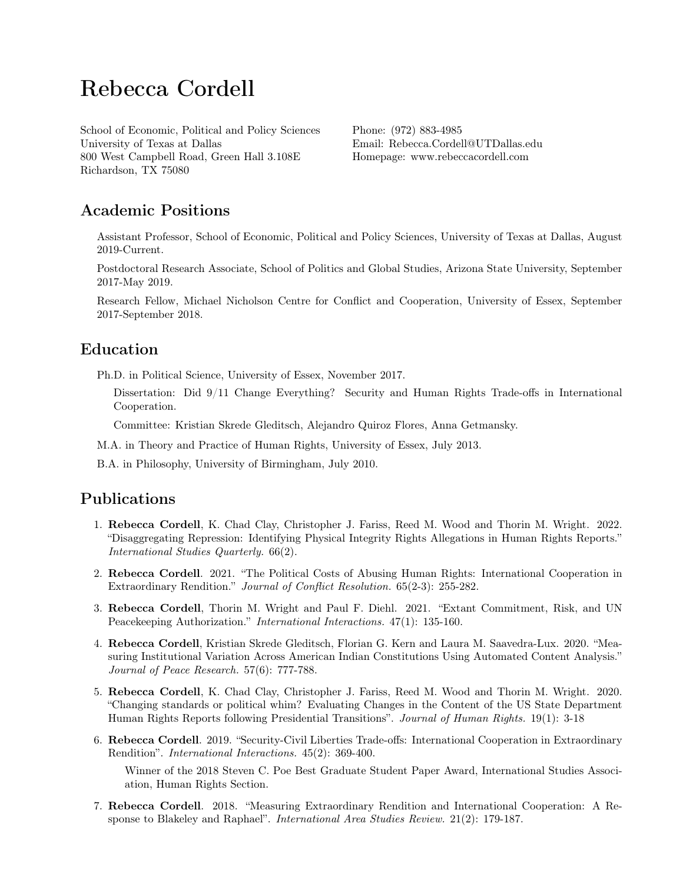# Rebecca Cordell

School of Economic, Political and Policy Sciences University of Texas at Dallas 800 West Campbell Road, Green Hall 3.108E Richardson, TX 75080

Phone: (972) 883-4985 Email: [Rebecca.Cordell@UTDallas.edu](mailto:Rebecca.Cordell@UTDallas.edu) Homepage: <www.rebeccacordell.com>

# Academic Positions

Assistant Professor, School of Economic, Political and Policy Sciences, University of Texas at Dallas, August 2019-Current.

Postdoctoral Research Associate, School of Politics and Global Studies, Arizona State University, September 2017-May 2019.

Research Fellow, Michael Nicholson Centre for Conflict and Cooperation, University of Essex, September 2017-September 2018.

# Education

Ph.D. in Political Science, University of Essex, November 2017.

Dissertation: Did 9/11 Change Everything? Security and Human Rights Trade-offs in International Cooperation.

Committee: Kristian Skrede Gleditsch, Alejandro Quiroz Flores, Anna Getmansky.

M.A. in Theory and Practice of Human Rights, University of Essex, July 2013.

B.A. in Philosophy, University of Birmingham, July 2010.

# Publications

- 1. Rebecca Cordell, K. Chad Clay, Christopher J. Fariss, Reed M. Wood and Thorin M. Wright. 2022. ["Disaggregating Repression: Identifying Physical Integrity Rights Allegations in Human Rights Reports."](http://www.rebeccacordell.com/research.html) International Studies Quarterly. 66(2).
- 2. Rebecca Cordell. 2021. ["The Political Costs of Abusing Human Rights: International Cooperation in](https://journals.sagepub.com/doi/abs/10.1177/0022002720967434?journalCode=jcrb) [Extraordinary Rendition."](https://journals.sagepub.com/doi/abs/10.1177/0022002720967434?journalCode=jcrb) Journal of Conflict Resolution. 65(2-3): 255-282.
- 3. Rebecca Cordell, Thorin M. Wright and Paul F. Diehl. 2021. ["Extant Commitment, Risk, and UN](http://www.rebeccacordell.com/research.html) [Peacekeeping Authorization."](http://www.rebeccacordell.com/research.html) International Interactions. 47(1): 135-160.
- 4. Rebecca Cordell, Kristian Skrede Gleditsch, Florian G. Kern and Laura M. Saavedra-Lux. 2020. ["Mea](https://journals.sagepub.com/doi/abs/10.1177/0022343320959122?journalCode=jpra)[suring Institutional Variation Across American Indian Constitutions Using Automated Content Analysis."](https://journals.sagepub.com/doi/abs/10.1177/0022343320959122?journalCode=jpra) Journal of Peace Research. 57(6): 777-788.
- 5. Rebecca Cordell, K. Chad Clay, Christopher J. Fariss, Reed M. Wood and Thorin M. Wright. 2020. ["Changing standards or political whim? Evaluating Changes in the Content of the US State Department](https://www.tandfonline.com/doi/abs/10.1080/14754835.2019.1671175) [Human Rights Reports following Presidential Transitions".](https://www.tandfonline.com/doi/abs/10.1080/14754835.2019.1671175) Journal of Human Rights. 19(1): 3-18
- 6. Rebecca Cordell. 2019. ["Security-Civil Liberties Trade-offs: International Cooperation in Extraordinary](https://www.tandfonline.com/eprint/AgXxWdpFQkC5CSDmGDci/full) [Rendition".](https://www.tandfonline.com/eprint/AgXxWdpFQkC5CSDmGDci/full) International Interactions. 45(2): 369-400.

Winner of the 2018 Steven C. Poe Best Graduate Student Paper Award, International Studies Association, Human Rights Section.

7. Rebecca Cordell. 2018. ["Measuring Extraordinary Rendition and International Cooperation: A Re](http://journals.sagepub.com/doi/abs/10.1177/2233865918763295?journalCode=iasb)[sponse to Blakeley and Raphael".](http://journals.sagepub.com/doi/abs/10.1177/2233865918763295?journalCode=iasb) International Area Studies Review. 21(2): 179-187.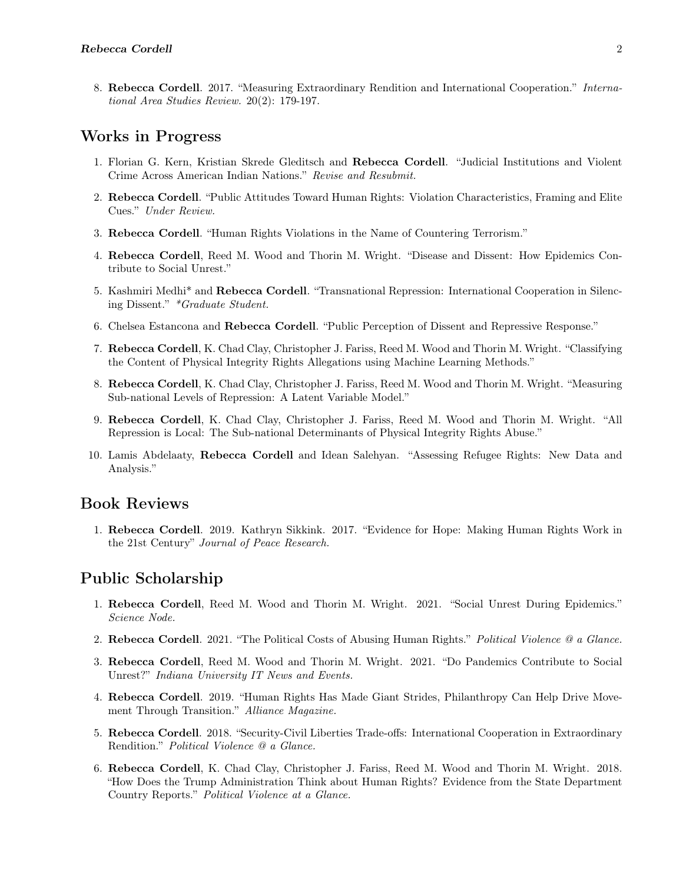8. Rebecca Cordell. 2017. ["Measuring Extraordinary Rendition and International Cooperation."](http://journals.sagepub.com/doi/abs/10.1177/2233865916687922) International Area Studies Review. 20(2): 179-197.

### Works in Progress

- 1. Florian G. Kern, Kristian Skrede Gleditsch and Rebecca Cordell. ["Judicial Institutions and Violent](http://www.rebeccacordell.com/research.html) [Crime Across American Indian Nations."](http://www.rebeccacordell.com/research.html) Revise and Resubmit.
- 2. Rebecca Cordell. ["Public Attitudes Toward Human Rights: Violation Characteristics, Framing and Elite](http://www.rebeccacordell.com/research.html) [Cues."](http://www.rebeccacordell.com/research.html) Under Review.
- 3. Rebecca Cordell. ["Human Rights Violations in the Name of Countering Terrorism."](http://www.rebeccacordell.com/research.html)
- 4. Rebecca Cordell, Reed M. Wood and Thorin M. Wright. ["Disease and Dissent: How Epidemics Con](http://www.rebeccacordell.com/research.html)[tribute to Social Unrest."](http://www.rebeccacordell.com/research.html)
- 5. Kashmiri Medhi\* and Rebecca Cordell. ["Transnational Repression: International Cooperation in Silenc](http://www.rebeccacordell.com/research.html)[ing Dissent."](http://www.rebeccacordell.com/research.html) \*Graduate Student.
- 6. Chelsea Estancona and Rebecca Cordell. ["Public Perception of Dissent and Repressive Response."](http://www.rebeccacordell.com/research.html)
- 7. Rebecca Cordell, K. Chad Clay, Christopher J. Fariss, Reed M. Wood and Thorin M. Wright. ["Classifying](http://www.rebeccacordell.com/research.html) [the Content of Physical Integrity Rights Allegations using Machine Learning Methods."](http://www.rebeccacordell.com/research.html)
- 8. Rebecca Cordell, K. Chad Clay, Christopher J. Fariss, Reed M. Wood and Thorin M. Wright. ["Measuring](http://www.rebeccacordell.com/research.html) [Sub-national Levels of Repression: A Latent Variable Model."](http://www.rebeccacordell.com/research.html)
- 9. Rebecca Cordell, K. Chad Clay, Christopher J. Fariss, Reed M. Wood and Thorin M. Wright. ["All](http://www.rebeccacordell.com/research.html) [Repression is Local: The Sub-national Determinants of Physical Integrity Rights Abuse."](http://www.rebeccacordell.com/research.html)
- 10. Lamis Abdelaaty, Rebecca Cordell and Idean Salehyan. ["Assessing Refugee Rights: New Data and](http://www.rebeccacordell.com/research.html) [Analysis."](http://www.rebeccacordell.com/research.html)

# Book Reviews

1. Rebecca Cordell. 2019. [Kathryn Sikkink. 2017. "Evidence for Hope: Making Human Rights Work in](https://www.prio.org/JPR/BookNotes/?x=1257) [the 21st Century"](https://www.prio.org/JPR/BookNotes/?x=1257) Journal of Peace Research.

### Public Scholarship

- 1. Rebecca Cordell, Reed M. Wood and Thorin M. Wright. 2021. ["Social Unrest During Epidemics."](https://sciencenode.org/feature/Social%20Unrest%20During%20Epidemics.php) Science Node.
- 2. Rebecca Cordell. 2021. ["The Political Costs of Abusing Human Rights."](https://politicalviolenceataglance.org/2021/01/15/the-political-costs-of-abusing-human-rights/) Political Violence @ a Glance.
- 3. Rebecca Cordell, Reed M. Wood and Thorin M. Wright. 2021. ["Do Pandemics Contribute to Social](https://itnews.iu.edu/articles/2021/Do-pandemics-contribute-to-social-unrest-.php) [Unrest?"](https://itnews.iu.edu/articles/2021/Do-pandemics-contribute-to-social-unrest-.php) Indiana University IT News and Events.
- 4. Rebecca Cordell. 2019. ["Human Rights Has Made Giant Strides, Philanthropy Can Help Drive Move](https://www.alliancemagazine.org/blog/human-rights-has-made-giant-strides/)[ment Through Transition."](https://www.alliancemagazine.org/blog/human-rights-has-made-giant-strides/) Alliance Magazine.
- 5. Rebecca Cordell. 2018. ["Security-Civil Liberties Trade-offs: International Cooperation in Extraordinary](http://politicalviolenceataglance.org/2018/10/08/security-civil-liberties-trade-offs-international-cooperation-in-extraordinary-rendition/) [Rendition."](http://politicalviolenceataglance.org/2018/10/08/security-civil-liberties-trade-offs-international-cooperation-in-extraordinary-rendition/) Political Violence @ a Glance.
- 6. Rebecca Cordell, K. Chad Clay, Christopher J. Fariss, Reed M. Wood and Thorin M. Wright. 2018. ["How Does the Trump Administration Think about Human Rights? Evidence from the State Department](http://politicalviolenceataglance.org/2018/06/01/how-does-the-trump-administration-think-about-human-rights-evidence-from-the-state-department-country-reports/) [Country Reports."](http://politicalviolenceataglance.org/2018/06/01/how-does-the-trump-administration-think-about-human-rights-evidence-from-the-state-department-country-reports/) Political Violence at a Glance.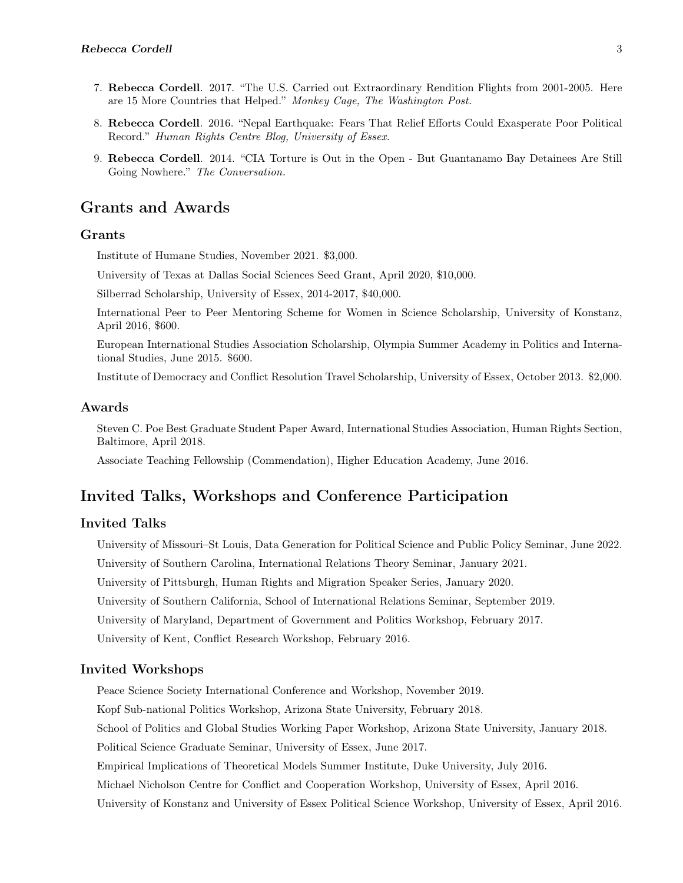- 7. Rebecca Cordell. 2017. ["The U.S. Carried out Extraordinary Rendition Flights from 2001-2005. Here](https://www.washingtonpost.com/news/monkey-cage/wp/2017/03/14/the-u-s-carried-out-extraordinary-rendition-flights-from-2001-2005-here-are-15-more-countries-that-helped/?utm_term=.2882032fe506) [are 15 More Countries that Helped."](https://www.washingtonpost.com/news/monkey-cage/wp/2017/03/14/the-u-s-carried-out-extraordinary-rendition-flights-from-2001-2005-here-are-15-more-countries-that-helped/?utm_term=.2882032fe506) Monkey Cage, The Washington Post.
- 8. Rebecca Cordell. 2016. ["Nepal Earthquake: Fears That Relief Efforts Could Exasperate Poor Political](https://hrcessex.wordpress.com/2016/03/03/nepal-earthquake-fears-that-relief-efforts-could-exasperate-poor-political-record/) [Record."](https://hrcessex.wordpress.com/2016/03/03/nepal-earthquake-fears-that-relief-efforts-could-exasperate-poor-political-record/) Human Rights Centre Blog, University of Essex.
- 9. Rebecca Cordell. 2014. ["CIA Torture is Out in the Open But Guantanamo Bay Detainees Are Still](https://theconversation.com/cia-torture-is-out-in-the-open-but-guantanamo-bay-detainees-are-still-going-nowhere-35390) [Going Nowhere."](https://theconversation.com/cia-torture-is-out-in-the-open-but-guantanamo-bay-detainees-are-still-going-nowhere-35390) The Conversation.

### Grants and Awards

#### Grants

Institute of Humane Studies, November 2021. \$3,000.

University of Texas at Dallas Social Sciences Seed Grant, April 2020, \$10,000.

Silberrad Scholarship, University of Essex, 2014-2017, \$40,000.

International Peer to Peer Mentoring Scheme for Women in Science Scholarship, University of Konstanz, April 2016, \$600.

European International Studies Association Scholarship, Olympia Summer Academy in Politics and International Studies, June 2015. \$600.

Institute of Democracy and Conflict Resolution Travel Scholarship, University of Essex, October 2013. \$2,000.

#### Awards

Steven C. Poe Best Graduate Student Paper Award, International Studies Association, Human Rights Section, Baltimore, April 2018.

Associate Teaching Fellowship (Commendation), Higher Education Academy, June 2016.

# Invited Talks, Workshops and Conference Participation

### Invited Talks

University of Missouri–St Louis, Data Generation for Political Science and Public Policy Seminar, June 2022. University of Southern Carolina, International Relations Theory Seminar, January 2021. University of Pittsburgh, Human Rights and Migration Speaker Series, January 2020. University of Southern California, School of International Relations Seminar, September 2019. University of Maryland, Department of Government and Politics Workshop, February 2017. University of Kent, Conflict Research Workshop, February 2016.

#### Invited Workshops

Peace Science Society International Conference and Workshop, November 2019.

Kopf Sub-national Politics Workshop, Arizona State University, February 2018.

School of Politics and Global Studies Working Paper Workshop, Arizona State University, January 2018.

Political Science Graduate Seminar, University of Essex, June 2017.

Empirical Implications of Theoretical Models Summer Institute, Duke University, July 2016.

Michael Nicholson Centre for Conflict and Cooperation Workshop, University of Essex, April 2016.

University of Konstanz and University of Essex Political Science Workshop, University of Essex, April 2016.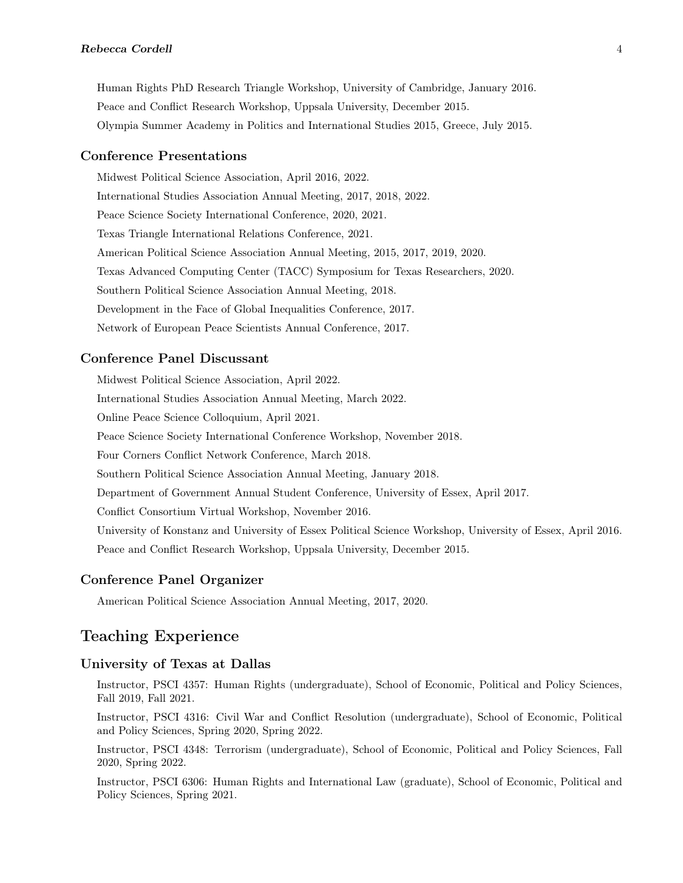Human Rights PhD Research Triangle Workshop, University of Cambridge, January 2016. Peace and Conflict Research Workshop, Uppsala University, December 2015. Olympia Summer Academy in Politics and International Studies 2015, Greece, July 2015.

#### Conference Presentations

Midwest Political Science Association, April 2016, 2022. International Studies Association Annual Meeting, 2017, 2018, 2022. Peace Science Society International Conference, 2020, 2021. Texas Triangle International Relations Conference, 2021. American Political Science Association Annual Meeting, 2015, 2017, 2019, 2020. Texas Advanced Computing Center (TACC) Symposium for Texas Researchers, 2020. Southern Political Science Association Annual Meeting, 2018. Development in the Face of Global Inequalities Conference, 2017. Network of European Peace Scientists Annual Conference, 2017.

#### Conference Panel Discussant

Midwest Political Science Association, April 2022. International Studies Association Annual Meeting, March 2022. Online Peace Science Colloquium, April 2021. Peace Science Society International Conference Workshop, November 2018. Four Corners Conflict Network Conference, March 2018. Southern Political Science Association Annual Meeting, January 2018. Department of Government Annual Student Conference, University of Essex, April 2017. Conflict Consortium Virtual Workshop, November 2016. University of Konstanz and University of Essex Political Science Workshop, University of Essex, April 2016. Peace and Conflict Research Workshop, Uppsala University, December 2015.

#### Conference Panel Organizer

American Political Science Association Annual Meeting, 2017, 2020.

# Teaching Experience

#### University of Texas at Dallas

Instructor, PSCI 4357: Human Rights (undergraduate), School of Economic, Political and Policy Sciences, Fall 2019, Fall 2021.

Instructor, PSCI 4316: Civil War and Conflict Resolution (undergraduate), School of Economic, Political and Policy Sciences, Spring 2020, Spring 2022.

Instructor, PSCI 4348: Terrorism (undergraduate), School of Economic, Political and Policy Sciences, Fall 2020, Spring 2022.

Instructor, PSCI 6306: Human Rights and International Law (graduate), School of Economic, Political and Policy Sciences, Spring 2021.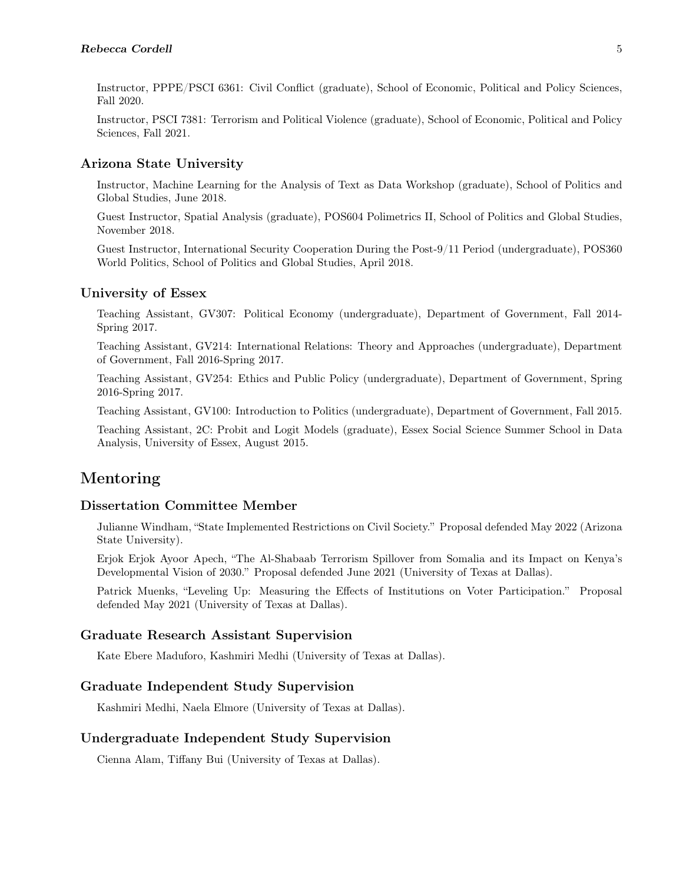Instructor, PPPE/PSCI 6361: Civil Conflict (graduate), School of Economic, Political and Policy Sciences, Fall 2020.

Instructor, PSCI 7381: Terrorism and Political Violence (graduate), School of Economic, Political and Policy Sciences, Fall 2021.

#### Arizona State University

Instructor, Machine Learning for the Analysis of Text as Data Workshop (graduate), School of Politics and Global Studies, June 2018.

Guest Instructor, Spatial Analysis (graduate), POS604 Polimetrics II, School of Politics and Global Studies, November 2018.

Guest Instructor, International Security Cooperation During the Post-9/11 Period (undergraduate), POS360 World Politics, School of Politics and Global Studies, April 2018.

#### University of Essex

Teaching Assistant, GV307: Political Economy (undergraduate), Department of Government, Fall 2014- Spring 2017.

Teaching Assistant, GV214: International Relations: Theory and Approaches (undergraduate), Department of Government, Fall 2016-Spring 2017.

Teaching Assistant, GV254: Ethics and Public Policy (undergraduate), Department of Government, Spring 2016-Spring 2017.

Teaching Assistant, GV100: Introduction to Politics (undergraduate), Department of Government, Fall 2015.

Teaching Assistant, 2C: Probit and Logit Models (graduate), Essex Social Science Summer School in Data Analysis, University of Essex, August 2015.

# Mentoring

#### Dissertation Committee Member

Julianne Windham, "State Implemented Restrictions on Civil Society." Proposal defended May 2022 (Arizona State University).

Erjok Erjok Ayoor Apech, "The Al-Shabaab Terrorism Spillover from Somalia and its Impact on Kenya's Developmental Vision of 2030." Proposal defended June 2021 (University of Texas at Dallas).

Patrick Muenks, "Leveling Up: Measuring the Effects of Institutions on Voter Participation." Proposal defended May 2021 (University of Texas at Dallas).

#### Graduate Research Assistant Supervision

Kate Ebere Maduforo, Kashmiri Medhi (University of Texas at Dallas).

#### Graduate Independent Study Supervision

Kashmiri Medhi, Naela Elmore (University of Texas at Dallas).

#### Undergraduate Independent Study Supervision

Cienna Alam, Tiffany Bui (University of Texas at Dallas).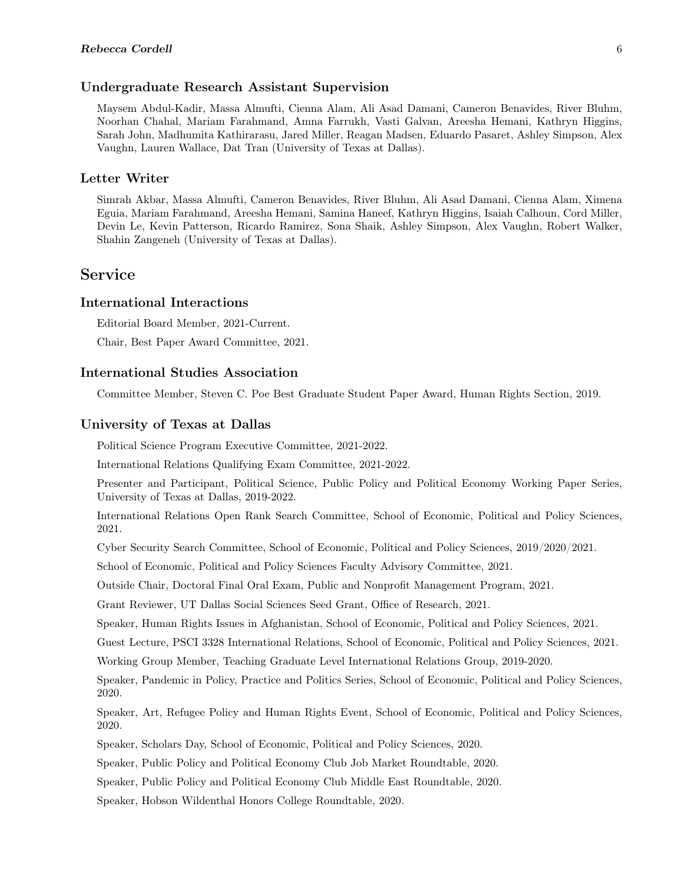#### Undergraduate Research Assistant Supervision

Maysem Abdul-Kadir, Massa Almufti, Cienna Alam, Ali Asad Damani, Cameron Benavides, River Bluhm, Noorhan Chahal, Mariam Farahmand, Amna Farrukh, Vasti Galvan, Areesha Hemani, Kathryn Higgins, Sarah John, Madhumita Kathirarasu, Jared Miller, Reagan Madsen, Eduardo Pasaret, Ashley Simpson, Alex Vaughn, Lauren Wallace, Dat Tran (University of Texas at Dallas).

#### Letter Writer

Simrah Akbar, Massa Almufti, Cameron Benavides, River Bluhm, Ali Asad Damani, Cienna Alam, Ximena Eguia, Mariam Farahmand, Areesha Hemani, Samina Haneef, Kathryn Higgins, Isaiah Calhoun, Cord Miller, Devin Le, Kevin Patterson, Ricardo Ramirez, Sona Shaik, Ashley Simpson, Alex Vaughn, Robert Walker, Shahin Zangeneh (University of Texas at Dallas).

### Service

#### International Interactions

Editorial Board Member, 2021-Current.

Chair, Best Paper Award Committee, 2021.

#### International Studies Association

Committee Member, Steven C. Poe Best Graduate Student Paper Award, Human Rights Section, 2019.

#### University of Texas at Dallas

Political Science Program Executive Committee, 2021-2022.

International Relations Qualifying Exam Committee, 2021-2022.

Presenter and Participant, Political Science, Public Policy and Political Economy Working Paper Series, University of Texas at Dallas, 2019-2022.

International Relations Open Rank Search Committee, School of Economic, Political and Policy Sciences, 2021.

Cyber Security Search Committee, School of Economic, Political and Policy Sciences, 2019/2020/2021.

School of Economic, Political and Policy Sciences Faculty Advisory Committee, 2021.

Outside Chair, Doctoral Final Oral Exam, Public and Nonprofit Management Program, 2021.

Grant Reviewer, UT Dallas Social Sciences Seed Grant, Office of Research, 2021.

Speaker, Human Rights Issues in Afghanistan, School of Economic, Political and Policy Sciences, 2021.

Guest Lecture, PSCI 3328 International Relations, School of Economic, Political and Policy Sciences, 2021.

Working Group Member, Teaching Graduate Level International Relations Group, 2019-2020.

Speaker, Pandemic in Policy, Practice and Politics Series, School of Economic, Political and Policy Sciences, 2020.

Speaker, Art, Refugee Policy and Human Rights Event, School of Economic, Political and Policy Sciences, 2020.

Speaker, Scholars Day, School of Economic, Political and Policy Sciences, 2020.

Speaker, Public Policy and Political Economy Club Job Market Roundtable, 2020.

Speaker, Public Policy and Political Economy Club Middle East Roundtable, 2020.

Speaker, Hobson Wildenthal Honors College Roundtable, 2020.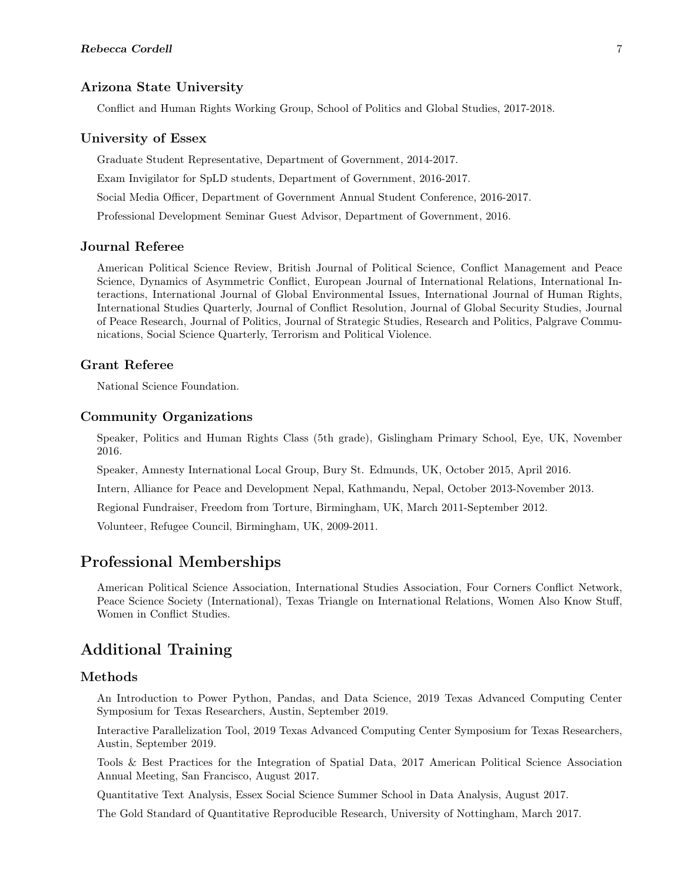#### Arizona State University

Conflict and Human Rights Working Group, School of Politics and Global Studies, 2017-2018.

#### University of Essex

Graduate Student Representative, Department of Government, 2014-2017. Exam Invigilator for SpLD students, Department of Government, 2016-2017. Social Media Officer, Department of Government Annual Student Conference, 2016-2017. Professional Development Seminar Guest Advisor, Department of Government, 2016.

### Journal Referee

American Political Science Review, British Journal of Political Science, Conflict Management and Peace Science, Dynamics of Asymmetric Conflict, European Journal of International Relations, International Interactions, International Journal of Global Environmental Issues, International Journal of Human Rights, International Studies Quarterly, Journal of Conflict Resolution, Journal of Global Security Studies, Journal of Peace Research, Journal of Politics, Journal of Strategic Studies, Research and Politics, Palgrave Communications, Social Science Quarterly, Terrorism and Political Violence.

#### Grant Referee

National Science Foundation.

#### Community Organizations

Speaker, Politics and Human Rights Class (5th grade), Gislingham Primary School, Eye, UK, November 2016.

Speaker, Amnesty International Local Group, Bury St. Edmunds, UK, October 2015, April 2016.

Intern, Alliance for Peace and Development Nepal, Kathmandu, Nepal, October 2013-November 2013.

Regional Fundraiser, Freedom from Torture, Birmingham, UK, March 2011-September 2012.

Volunteer, Refugee Council, Birmingham, UK, 2009-2011.

### Professional Memberships

American Political Science Association, International Studies Association, Four Corners Conflict Network, Peace Science Society (International), Texas Triangle on International Relations, Women Also Know Stuff, Women in Conflict Studies.

### Additional Training

#### Methods

An Introduction to Power Python, Pandas, and Data Science, 2019 Texas Advanced Computing Center Symposium for Texas Researchers, Austin, September 2019.

Interactive Parallelization Tool, 2019 Texas Advanced Computing Center Symposium for Texas Researchers, Austin, September 2019.

Tools & Best Practices for the Integration of Spatial Data, 2017 American Political Science Association Annual Meeting, San Francisco, August 2017.

Quantitative Text Analysis, Essex Social Science Summer School in Data Analysis, August 2017.

The Gold Standard of Quantitative Reproducible Research, University of Nottingham, March 2017.